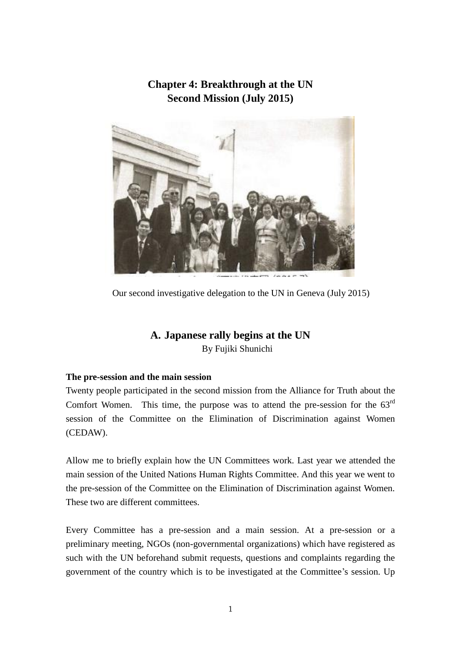# **Chapter 4: Breakthrough at the UN Second Mission (July 2015)**



Our second investigative delegation to the UN in Geneva (July 2015)

# **A. Japanese rally begins at the UN** By Fujiki Shunichi

### **The pre-session and the main session**

Twenty people participated in the second mission from the Alliance for Truth about the Comfort Women. This time, the purpose was to attend the pre-session for the  $63<sup>rd</sup>$ session of the Committee on the Elimination of Discrimination against Women (CEDAW).

Allow me to briefly explain how the UN Committees work. Last year we attended the main session of the United Nations Human Rights Committee. And this year we went to the pre-session of the Committee on the Elimination of Discrimination against Women. These two are different committees.

Every Committee has a pre-session and a main session. At a pre-session or a preliminary meeting, NGOs (non-governmental organizations) which have registered as such with the UN beforehand submit requests, questions and complaints regarding the government of the country which is to be investigated at the Committee's session. Up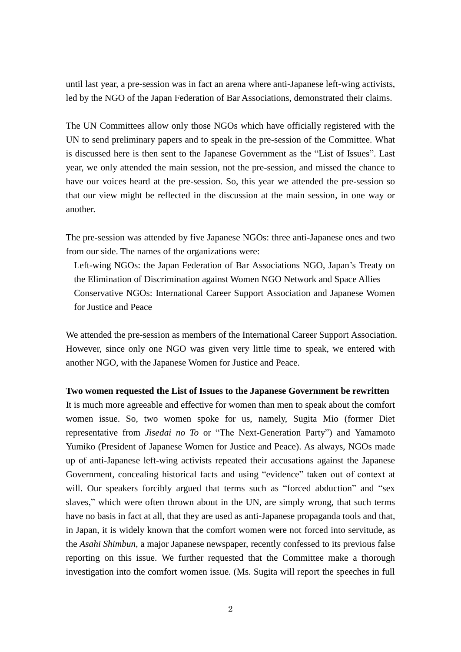until last year, a pre-session was in fact an arena where anti-Japanese left-wing activists, led by the NGO of the Japan Federation of Bar Associations, demonstrated their claims.

The UN Committees allow only those NGOs which have officially registered with the UN to send preliminary papers and to speak in the pre-session of the Committee. What is discussed here is then sent to the Japanese Government as the "List of Issues". Last year, we only attended the main session, not the pre-session, and missed the chance to have our voices heard at the pre-session. So, this year we attended the pre-session so that our view might be reflected in the discussion at the main session, in one way or another.

The pre-session was attended by five Japanese NGOs: three anti-Japanese ones and two from our side. The names of the organizations were:

Left-wing NGOs: the Japan Federation of Bar Associations NGO, Japan's Treaty on the Elimination of Discrimination against Women NGO Network and Space Allies Conservative NGOs: International Career Support Association and Japanese Women for Justice and Peace

We attended the pre-session as members of the International Career Support Association. However, since only one NGO was given very little time to speak, we entered with another NGO, with the Japanese Women for Justice and Peace.

#### **Two women requested the List of Issues to the Japanese Government be rewritten**

It is much more agreeable and effective for women than men to speak about the comfort women issue. So, two women spoke for us, namely, Sugita Mio (former Diet representative from *Jisedai no To* or "The Next-Generation Party") and Yamamoto Yumiko (President of Japanese Women for Justice and Peace). As always, NGOs made up of anti-Japanese left-wing activists repeated their accusations against the Japanese Government, concealing historical facts and using "evidence" taken out of context at will. Our speakers forcibly argued that terms such as "forced abduction" and "sex slaves," which were often thrown about in the UN, are simply wrong, that such terms have no basis in fact at all, that they are used as anti-Japanese propaganda tools and that, in Japan, it is widely known that the comfort women were not forced into servitude, as the *Asahi Shimbun*, a major Japanese newspaper, recently confessed to its previous false reporting on this issue. We further requested that the Committee make a thorough investigation into the comfort women issue. (Ms. Sugita will report the speeches in full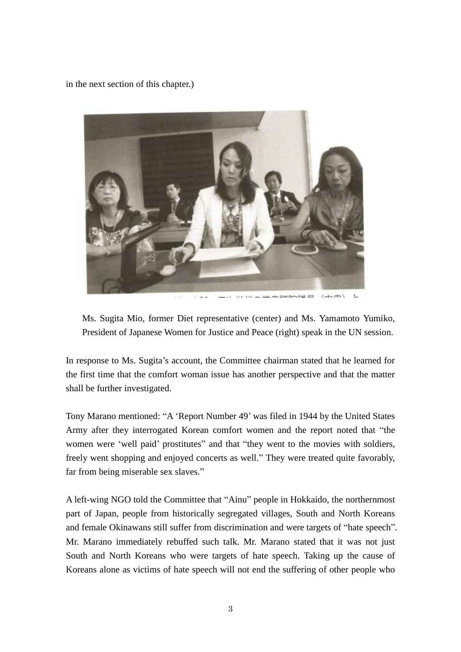in the next section of this chapter.)



 $4 + 1$ they will receive the state

Ms. Sugita Mio, former Diet representative (center) and Ms. Yamamoto Yumiko, President of Japanese Women for Justice and Peace (right) speak in the UN session.

In response to Ms. Sugita's account, the Committee chairman stated that he learned for the first time that the comfort woman issue has another perspective and that the matter shall be further investigated.

Tony Marano mentioned: "A 'Report Number 49' was filed in 1944 by the United States Army after they interrogated Korean comfort women and the report noted that "the women were 'well paid' prostitutes" and that "they went to the movies with soldiers, freely went shopping and enjoyed concerts as well." They were treated quite favorably, far from being miserable sex slaves."

A left-wing NGO told the Committee that "Ainu" people in Hokkaido, the northernmost part of Japan, people from historically segregated villages, South and North Koreans and female Okinawans still suffer from discrimination and were targets of "hate speech". Mr. Marano immediately rebuffed such talk. Mr. Marano stated that it was not just South and North Koreans who were targets of hate speech. Taking up the cause of Koreans alone as victims of hate speech will not end the suffering of other people who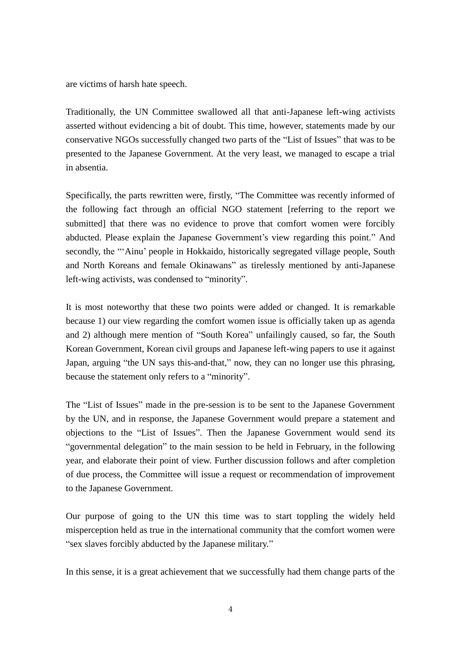are victims of harsh hate speech.

Traditionally, the UN Committee swallowed all that anti-Japanese left-wing activists asserted without evidencing a bit of doubt. This time, however, statements made by our conservative NGOs successfully changed two parts of the "List of Issues" that was to be presented to the Japanese Government. At the very least, we managed to escape a trial in absentia.

Specifically, the parts rewritten were, firstly, "The Committee was recently informed of the following fact through an official NGO statement [referring to the report we submitted] that there was no evidence to prove that comfort women were forcibly abducted. Please explain the Japanese Government's view regarding this point." And secondly, the "'Ainu' people in Hokkaido, historically segregated village people, South and North Koreans and female Okinawans" as tirelessly mentioned by anti-Japanese left-wing activists, was condensed to "minority".

It is most noteworthy that these two points were added or changed. It is remarkable because 1) our view regarding the comfort women issue is officially taken up as agenda and 2) although mere mention of "South Korea" unfailingly caused, so far, the South Korean Government, Korean civil groups and Japanese left-wing papers to use it against Japan, arguing "the UN says this-and-that," now, they can no longer use this phrasing, because the statement only refers to a "minority".

The "List of Issues" made in the pre-session is to be sent to the Japanese Government by the UN, and in response, the Japanese Government would prepare a statement and objections to the "List of Issues". Then the Japanese Government would send its "governmental delegation" to the main session to be held in February, in the following year, and elaborate their point of view. Further discussion follows and after completion of due process, the Committee will issue a request or recommendation of improvement to the Japanese Government.

Our purpose of going to the UN this time was to start toppling the widely held misperception held as true in the international community that the comfort women were "sex slaves forcibly abducted by the Japanese military."

In this sense, it is a great achievement that we successfully had them change parts of the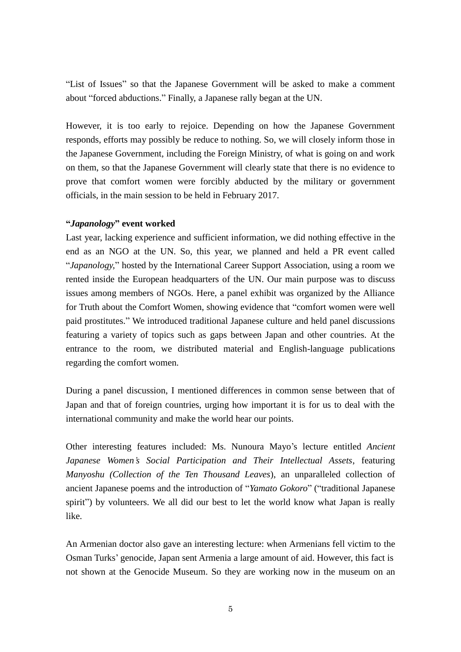"List of Issues" so that the Japanese Government will be asked to make a comment about "forced abductions." Finally, a Japanese rally began at the UN.

However, it is too early to rejoice. Depending on how the Japanese Government responds, efforts may possibly be reduce to nothing. So, we will closely inform those in the Japanese Government, including the Foreign Ministry, of what is going on and work on them, so that the Japanese Government will clearly state that there is no evidence to prove that comfort women were forcibly abducted by the military or government officials, in the main session to be held in February 2017.

### **"***Japanology***" event worked**

Last year, lacking experience and sufficient information, we did nothing effective in the end as an NGO at the UN. So, this year, we planned and held a PR event called "*Japanology,*" hosted by the International Career Support Association, using a room we rented inside the European headquarters of the UN. Our main purpose was to discuss issues among members of NGOs. Here, a panel exhibit was organized by the Alliance for Truth about the Comfort Women, showing evidence that "comfort women were well paid prostitutes." We introduced traditional Japanese culture and held panel discussions featuring a variety of topics such as gaps between Japan and other countries. At the entrance to the room, we distributed material and English-language publications regarding the comfort women.

During a panel discussion, I mentioned differences in common sense between that of Japan and that of foreign countries, urging how important it is for us to deal with the international community and make the world hear our points.

Other interesting features included: Ms. Nunoura Mayo's lecture entitled *Ancient Japanese Women's Social Participation and Their Intellectual Assets*, featuring *Manyoshu (Collection of the Ten Thousand Leaves*), an unparalleled collection of ancient Japanese poems and the introduction of "*Yamato Gokoro*" ("traditional Japanese spirit") by volunteers. We all did our best to let the world know what Japan is really like.

An Armenian doctor also gave an interesting lecture: when Armenians fell victim to the Osman Turks' genocide, Japan sent Armenia a large amount of aid. However, this fact is not shown at the Genocide Museum. So they are working now in the museum on an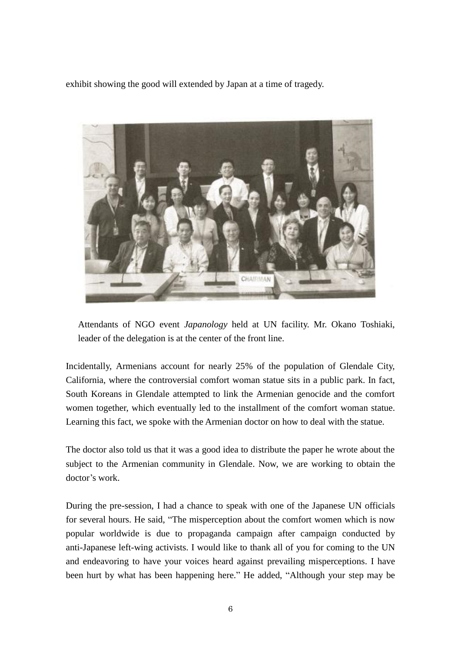exhibit showing the good will extended by Japan at a time of tragedy.



Attendants of NGO event *Japanology* held at UN facility. Mr. Okano Toshiaki, leader of the delegation is at the center of the front line.

Incidentally, Armenians account for nearly 25% of the population of Glendale City, California, where the controversial comfort woman statue sits in a public park. In fact, South Koreans in Glendale attempted to link the Armenian genocide and the comfort women together, which eventually led to the installment of the comfort woman statue. Learning this fact, we spoke with the Armenian doctor on how to deal with the statue.

The doctor also told us that it was a good idea to distribute the paper he wrote about the subject to the Armenian community in Glendale. Now, we are working to obtain the doctor's work.

During the pre-session, I had a chance to speak with one of the Japanese UN officials for several hours. He said, "The misperception about the comfort women which is now popular worldwide is due to propaganda campaign after campaign conducted by anti-Japanese left-wing activists. I would like to thank all of you for coming to the UN and endeavoring to have your voices heard against prevailing misperceptions. I have been hurt by what has been happening here." He added, "Although your step may be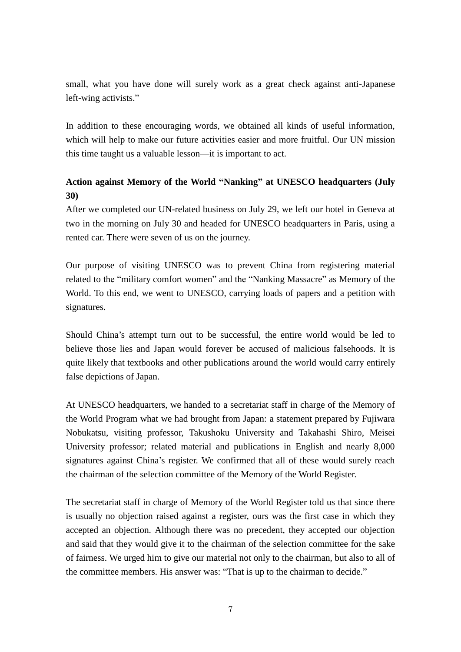small, what you have done will surely work as a great check against anti-Japanese left-wing activists."

In addition to these encouraging words, we obtained all kinds of useful information, which will help to make our future activities easier and more fruitful. Our UN mission this time taught us a valuable lesson—it is important to act.

## **Action against Memory of the World "Nanking" at UNESCO headquarters (July 30)**

After we completed our UN-related business on July 29, we left our hotel in Geneva at two in the morning on July 30 and headed for UNESCO headquarters in Paris, using a rented car. There were seven of us on the journey.

Our purpose of visiting UNESCO was to prevent China from registering material related to the "military comfort women" and the "Nanking Massacre" as Memory of the World. To this end, we went to UNESCO, carrying loads of papers and a petition with signatures.

Should China's attempt turn out to be successful, the entire world would be led to believe those lies and Japan would forever be accused of malicious falsehoods. It is quite likely that textbooks and other publications around the world would carry entirely false depictions of Japan.

At UNESCO headquarters, we handed to a secretariat staff in charge of the Memory of the World Program what we had brought from Japan: a statement prepared by Fujiwara Nobukatsu, visiting professor, Takushoku University and Takahashi Shiro, Meisei University professor; related material and publications in English and nearly 8,000 signatures against China's register. We confirmed that all of these would surely reach the chairman of the selection committee of the Memory of the World Register.

The secretariat staff in charge of Memory of the World Register told us that since there is usually no objection raised against a register, ours was the first case in which they accepted an objection. Although there was no precedent, they accepted our objection and said that they would give it to the chairman of the selection committee for the sake of fairness. We urged him to give our material not only to the chairman, but also to all of the committee members. His answer was: "That is up to the chairman to decide."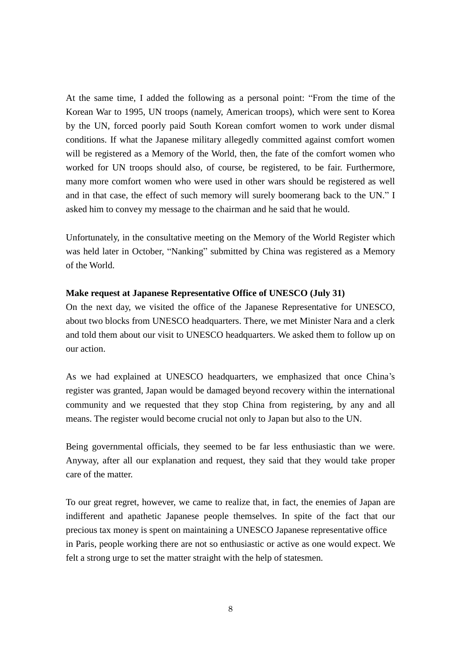At the same time, I added the following as a personal point: "From the time of the Korean War to 1995, UN troops (namely, American troops), which were sent to Korea by the UN, forced poorly paid South Korean comfort women to work under dismal conditions. If what the Japanese military allegedly committed against comfort women will be registered as a Memory of the World, then, the fate of the comfort women who worked for UN troops should also, of course, be registered, to be fair. Furthermore, many more comfort women who were used in other wars should be registered as well and in that case, the effect of such memory will surely boomerang back to the UN." I asked him to convey my message to the chairman and he said that he would.

Unfortunately, in the consultative meeting on the Memory of the World Register which was held later in October, "Nanking" submitted by China was registered as a Memory of the World.

#### **Make request at Japanese Representative Office of UNESCO (July 31)**

On the next day, we visited the office of the Japanese Representative for UNESCO, about two blocks from UNESCO headquarters. There, we met Minister Nara and a clerk and told them about our visit to UNESCO headquarters. We asked them to follow up on our action.

As we had explained at UNESCO headquarters, we emphasized that once China's register was granted, Japan would be damaged beyond recovery within the international community and we requested that they stop China from registering, by any and all means. The register would become crucial not only to Japan but also to the UN.

Being governmental officials, they seemed to be far less enthusiastic than we were. Anyway, after all our explanation and request, they said that they would take proper care of the matter.

To our great regret, however, we came to realize that, in fact, the enemies of Japan are indifferent and apathetic Japanese people themselves. In spite of the fact that our precious tax money is spent on maintaining a UNESCO Japanese representative office in Paris, people working there are not so enthusiastic or active as one would expect. We felt a strong urge to set the matter straight with the help of statesmen.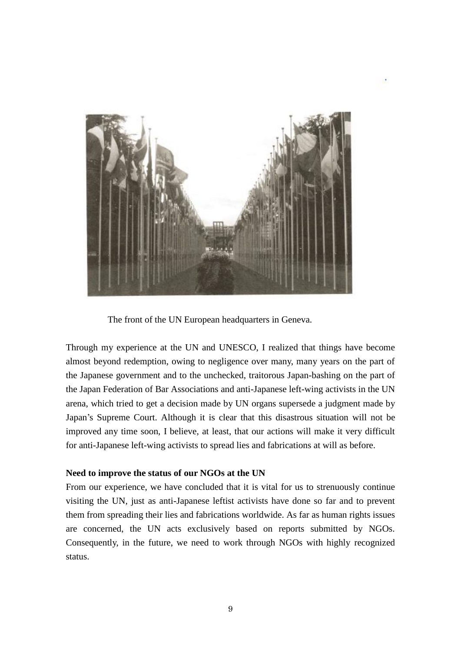

The front of the UN European headquarters in Geneva.

Through my experience at the UN and UNESCO, I realized that things have become almost beyond redemption, owing to negligence over many, many years on the part of the Japanese government and to the unchecked, traitorous Japan-bashing on the part of the Japan Federation of Bar Associations and anti-Japanese left-wing activists in the UN arena, which tried to get a decision made by UN organs supersede a judgment made by Japan's Supreme Court. Although it is clear that this disastrous situation will not be improved any time soon, I believe, at least, that our actions will make it very difficult for anti-Japanese left-wing activists to spread lies and fabrications at will as before.

#### **Need to improve the status of our NGOs at the UN**

From our experience, we have concluded that it is vital for us to strenuously continue visiting the UN, just as anti-Japanese leftist activists have done so far and to prevent them from spreading their lies and fabrications worldwide. As far as human rights issues are concerned, the UN acts exclusively based on reports submitted by NGOs. Consequently, in the future, we need to work through NGOs with highly recognized status.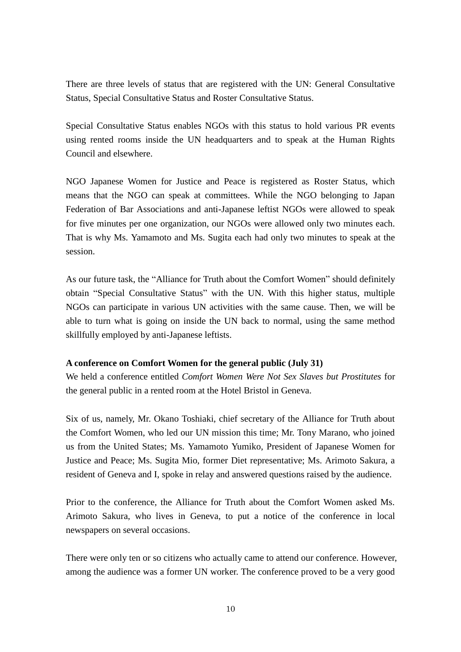There are three levels of status that are registered with the UN: General Consultative Status, Special Consultative Status and Roster Consultative Status.

Special Consultative Status enables NGOs with this status to hold various PR events using rented rooms inside the UN headquarters and to speak at the Human Rights Council and elsewhere.

NGO Japanese Women for Justice and Peace is registered as Roster Status, which means that the NGO can speak at committees. While the NGO belonging to Japan Federation of Bar Associations and anti-Japanese leftist NGOs were allowed to speak for five minutes per one organization, our NGOs were allowed only two minutes each. That is why Ms. Yamamoto and Ms. Sugita each had only two minutes to speak at the session.

As our future task, the "Alliance for Truth about the Comfort Women" should definitely obtain "Special Consultative Status" with the UN. With this higher status, multiple NGOs can participate in various UN activities with the same cause. Then, we will be able to turn what is going on inside the UN back to normal, using the same method skillfully employed by anti-Japanese leftists.

### **A conference on Comfort Women for the general public (July 31)**

We held a conference entitled *Comfort Women Were Not Sex Slaves but Prostitutes* for the general public in a rented room at the Hotel Bristol in Geneva.

Six of us, namely, Mr. Okano Toshiaki, chief secretary of the Alliance for Truth about the Comfort Women, who led our UN mission this time; Mr. Tony Marano, who joined us from the United States; Ms. Yamamoto Yumiko, President of Japanese Women for Justice and Peace; Ms. Sugita Mio, former Diet representative; Ms. Arimoto Sakura, a resident of Geneva and I, spoke in relay and answered questions raised by the audience.

Prior to the conference, the Alliance for Truth about the Comfort Women asked Ms. Arimoto Sakura, who lives in Geneva, to put a notice of the conference in local newspapers on several occasions.

There were only ten or so citizens who actually came to attend our conference. However, among the audience was a former UN worker. The conference proved to be a very good